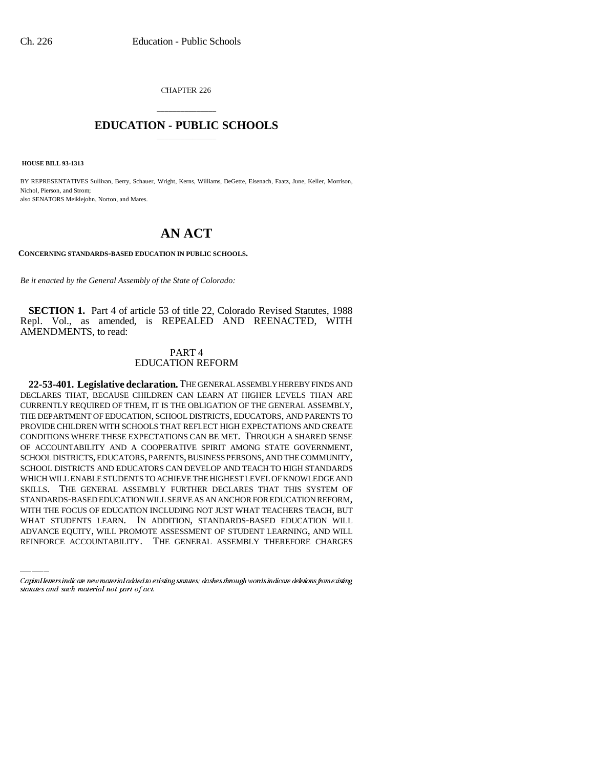CHAPTER 226

## \_\_\_\_\_\_\_\_\_\_\_\_\_\_\_ **EDUCATION - PUBLIC SCHOOLS** \_\_\_\_\_\_\_\_\_\_\_\_\_\_\_

 **HOUSE BILL 93-1313**

BY REPRESENTATIVES Sullivan, Berry, Schauer, Wright, Kerns, Williams, DeGette, Eisenach, Faatz, June, Keller, Morrison, Nichol, Pierson, and Strom; also SENATORS Meiklejohn, Norton, and Mares.

## **AN ACT**

**CONCERNING STANDARDS-BASED EDUCATION IN PUBLIC SCHOOLS.**

*Be it enacted by the General Assembly of the State of Colorado:*

**SECTION 1.** Part 4 of article 53 of title 22, Colorado Revised Statutes, 1988 Repl. Vol., as amended, is REPEALED AND REENACTED, WITH AMENDMENTS, to read:

## PART 4 EDUCATION REFORM

STANDARDS-BASED EDUCATION WILL SERVE AS AN ANCHOR FOR EDUCATION REFORM, **22-53-401. Legislative declaration.** THE GENERAL ASSEMBLY HEREBY FINDS AND DECLARES THAT, BECAUSE CHILDREN CAN LEARN AT HIGHER LEVELS THAN ARE CURRENTLY REQUIRED OF THEM, IT IS THE OBLIGATION OF THE GENERAL ASSEMBLY, THE DEPARTMENT OF EDUCATION, SCHOOL DISTRICTS, EDUCATORS, AND PARENTS TO PROVIDE CHILDREN WITH SCHOOLS THAT REFLECT HIGH EXPECTATIONS AND CREATE CONDITIONS WHERE THESE EXPECTATIONS CAN BE MET. THROUGH A SHARED SENSE OF ACCOUNTABILITY AND A COOPERATIVE SPIRIT AMONG STATE GOVERNMENT, SCHOOL DISTRICTS, EDUCATORS, PARENTS, BUSINESS PERSONS, AND THE COMMUNITY, SCHOOL DISTRICTS AND EDUCATORS CAN DEVELOP AND TEACH TO HIGH STANDARDS WHICH WILL ENABLE STUDENTS TO ACHIEVE THE HIGHEST LEVEL OF KNOWLEDGE AND SKILLS. THE GENERAL ASSEMBLY FURTHER DECLARES THAT THIS SYSTEM OF WITH THE FOCUS OF EDUCATION INCLUDING NOT JUST WHAT TEACHERS TEACH, BUT WHAT STUDENTS LEARN. IN ADDITION, STANDARDS-BASED EDUCATION WILL ADVANCE EQUITY, WILL PROMOTE ASSESSMENT OF STUDENT LEARNING, AND WILL REINFORCE ACCOUNTABILITY. THE GENERAL ASSEMBLY THEREFORE CHARGES

Capital letters indicate new material added to existing statutes; dashes through words indicate deletions from existing statutes and such material not part of act.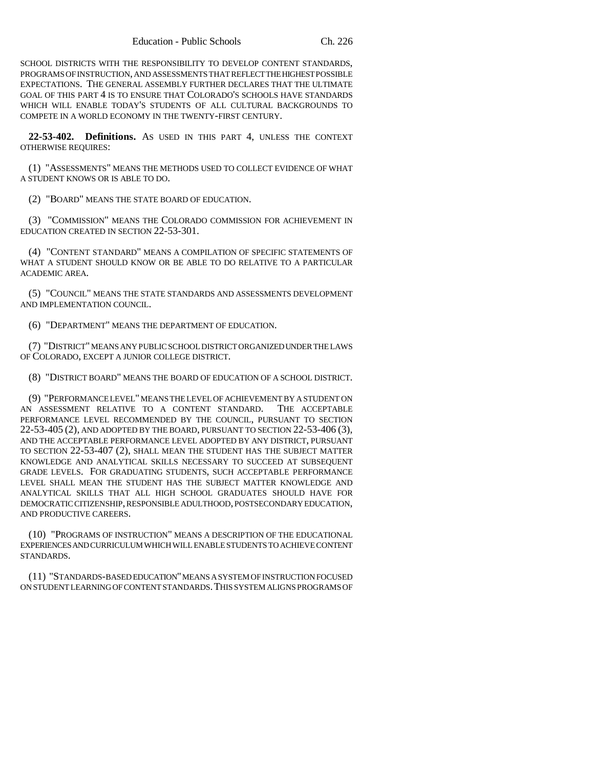SCHOOL DISTRICTS WITH THE RESPONSIBILITY TO DEVELOP CONTENT STANDARDS, PROGRAMS OF INSTRUCTION, AND ASSESSMENTS THAT REFLECT THE HIGHEST POSSIBLE EXPECTATIONS. THE GENERAL ASSEMBLY FURTHER DECLARES THAT THE ULTIMATE GOAL OF THIS PART 4 IS TO ENSURE THAT COLORADO'S SCHOOLS HAVE STANDARDS WHICH WILL ENABLE TODAY'S STUDENTS OF ALL CULTURAL BACKGROUNDS TO COMPETE IN A WORLD ECONOMY IN THE TWENTY-FIRST CENTURY.

**22-53-402. Definitions.** AS USED IN THIS PART 4, UNLESS THE CONTEXT OTHERWISE REQUIRES:

(1) "ASSESSMENTS" MEANS THE METHODS USED TO COLLECT EVIDENCE OF WHAT A STUDENT KNOWS OR IS ABLE TO DO.

(2) "BOARD" MEANS THE STATE BOARD OF EDUCATION.

(3) "COMMISSION" MEANS THE COLORADO COMMISSION FOR ACHIEVEMENT IN EDUCATION CREATED IN SECTION 22-53-301.

(4) "CONTENT STANDARD" MEANS A COMPILATION OF SPECIFIC STATEMENTS OF WHAT A STUDENT SHOULD KNOW OR BE ABLE TO DO RELATIVE TO A PARTICULAR ACADEMIC AREA.

(5) "COUNCIL" MEANS THE STATE STANDARDS AND ASSESSMENTS DEVELOPMENT AND IMPLEMENTATION COUNCIL.

(6) "DEPARTMENT" MEANS THE DEPARTMENT OF EDUCATION.

(7) "DISTRICT" MEANS ANY PUBLIC SCHOOL DISTRICT ORGANIZED UNDER THE LAWS OF COLORADO, EXCEPT A JUNIOR COLLEGE DISTRICT.

(8) "DISTRICT BOARD" MEANS THE BOARD OF EDUCATION OF A SCHOOL DISTRICT.

(9) "PERFORMANCE LEVEL" MEANS THE LEVEL OF ACHIEVEMENT BY A STUDENT ON AN ASSESSMENT RELATIVE TO A CONTENT STANDARD. THE ACCEPTABLE PERFORMANCE LEVEL RECOMMENDED BY THE COUNCIL, PURSUANT TO SECTION 22-53-405 (2), AND ADOPTED BY THE BOARD, PURSUANT TO SECTION 22-53-406 (3), AND THE ACCEPTABLE PERFORMANCE LEVEL ADOPTED BY ANY DISTRICT, PURSUANT TO SECTION 22-53-407 (2), SHALL MEAN THE STUDENT HAS THE SUBJECT MATTER KNOWLEDGE AND ANALYTICAL SKILLS NECESSARY TO SUCCEED AT SUBSEQUENT GRADE LEVELS. FOR GRADUATING STUDENTS, SUCH ACCEPTABLE PERFORMANCE LEVEL SHALL MEAN THE STUDENT HAS THE SUBJECT MATTER KNOWLEDGE AND ANALYTICAL SKILLS THAT ALL HIGH SCHOOL GRADUATES SHOULD HAVE FOR DEMOCRATIC CITIZENSHIP, RESPONSIBLE ADULTHOOD, POSTSECONDARY EDUCATION, AND PRODUCTIVE CAREERS.

(10) "PROGRAMS OF INSTRUCTION" MEANS A DESCRIPTION OF THE EDUCATIONAL EXPERIENCES AND CURRICULUM WHICH WILL ENABLE STUDENTS TO ACHIEVE CONTENT STANDARDS.

(11) "STANDARDS-BASED EDUCATION" MEANS A SYSTEM OF INSTRUCTION FOCUSED ON STUDENT LEARNING OF CONTENT STANDARDS.THIS SYSTEM ALIGNS PROGRAMS OF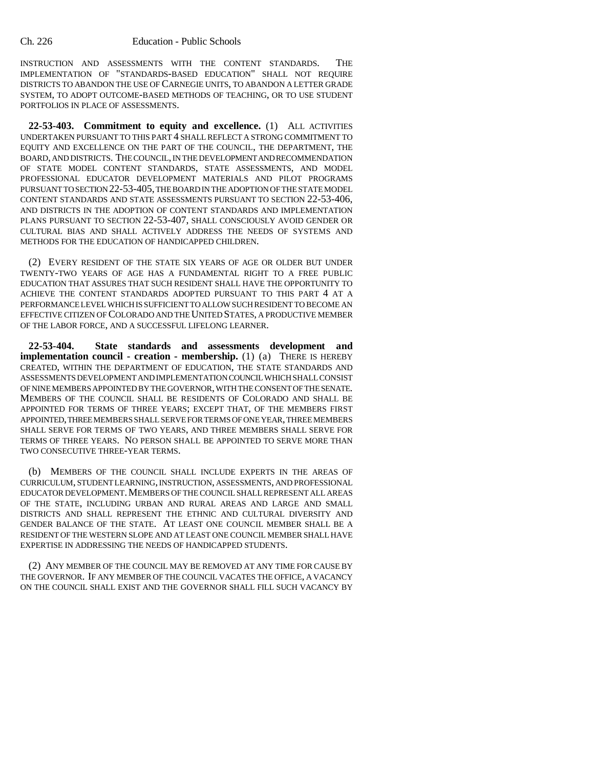INSTRUCTION AND ASSESSMENTS WITH THE CONTENT STANDARDS. THE IMPLEMENTATION OF "STANDARDS-BASED EDUCATION" SHALL NOT REQUIRE DISTRICTS TO ABANDON THE USE OF CARNEGIE UNITS, TO ABANDON A LETTER GRADE SYSTEM, TO ADOPT OUTCOME-BASED METHODS OF TEACHING, OR TO USE STUDENT PORTFOLIOS IN PLACE OF ASSESSMENTS.

**22-53-403. Commitment to equity and excellence.** (1) ALL ACTIVITIES UNDERTAKEN PURSUANT TO THIS PART 4 SHALL REFLECT A STRONG COMMITMENT TO EQUITY AND EXCELLENCE ON THE PART OF THE COUNCIL, THE DEPARTMENT, THE BOARD, AND DISTRICTS. THE COUNCIL, IN THE DEVELOPMENT AND RECOMMENDATION OF STATE MODEL CONTENT STANDARDS, STATE ASSESSMENTS, AND MODEL PROFESSIONAL EDUCATOR DEVELOPMENT MATERIALS AND PILOT PROGRAMS PURSUANT TO SECTION 22-53-405, THE BOARD IN THE ADOPTION OF THE STATE MODEL CONTENT STANDARDS AND STATE ASSESSMENTS PURSUANT TO SECTION 22-53-406, AND DISTRICTS IN THE ADOPTION OF CONTENT STANDARDS AND IMPLEMENTATION PLANS PURSUANT TO SECTION 22-53-407, SHALL CONSCIOUSLY AVOID GENDER OR CULTURAL BIAS AND SHALL ACTIVELY ADDRESS THE NEEDS OF SYSTEMS AND METHODS FOR THE EDUCATION OF HANDICAPPED CHILDREN.

(2) EVERY RESIDENT OF THE STATE SIX YEARS OF AGE OR OLDER BUT UNDER TWENTY-TWO YEARS OF AGE HAS A FUNDAMENTAL RIGHT TO A FREE PUBLIC EDUCATION THAT ASSURES THAT SUCH RESIDENT SHALL HAVE THE OPPORTUNITY TO ACHIEVE THE CONTENT STANDARDS ADOPTED PURSUANT TO THIS PART 4 AT A PERFORMANCE LEVEL WHICH IS SUFFICIENT TO ALLOW SUCH RESIDENT TO BECOME AN EFFECTIVE CITIZEN OF COLORADO AND THE UNITED STATES, A PRODUCTIVE MEMBER OF THE LABOR FORCE, AND A SUCCESSFUL LIFELONG LEARNER.

**22-53-404. State standards and assessments development and implementation council - creation - membership.** (1) (a) THERE IS HEREBY CREATED, WITHIN THE DEPARTMENT OF EDUCATION, THE STATE STANDARDS AND ASSESSMENTS DEVELOPMENT AND IMPLEMENTATION COUNCIL WHICH SHALL CONSIST OF NINE MEMBERS APPOINTED BY THE GOVERNOR, WITH THE CONSENT OF THE SENATE. MEMBERS OF THE COUNCIL SHALL BE RESIDENTS OF COLORADO AND SHALL BE APPOINTED FOR TERMS OF THREE YEARS; EXCEPT THAT, OF THE MEMBERS FIRST APPOINTED, THREE MEMBERS SHALL SERVE FOR TERMS OF ONE YEAR, THREE MEMBERS SHALL SERVE FOR TERMS OF TWO YEARS, AND THREE MEMBERS SHALL SERVE FOR TERMS OF THREE YEARS. NO PERSON SHALL BE APPOINTED TO SERVE MORE THAN TWO CONSECUTIVE THREE-YEAR TERMS.

(b) MEMBERS OF THE COUNCIL SHALL INCLUDE EXPERTS IN THE AREAS OF CURRICULUM, STUDENT LEARNING, INSTRUCTION, ASSESSMENTS, AND PROFESSIONAL EDUCATOR DEVELOPMENT. MEMBERS OF THE COUNCIL SHALL REPRESENT ALL AREAS OF THE STATE, INCLUDING URBAN AND RURAL AREAS AND LARGE AND SMALL DISTRICTS AND SHALL REPRESENT THE ETHNIC AND CULTURAL DIVERSITY AND GENDER BALANCE OF THE STATE. AT LEAST ONE COUNCIL MEMBER SHALL BE A RESIDENT OF THE WESTERN SLOPE AND AT LEAST ONE COUNCIL MEMBER SHALL HAVE EXPERTISE IN ADDRESSING THE NEEDS OF HANDICAPPED STUDENTS.

(2) ANY MEMBER OF THE COUNCIL MAY BE REMOVED AT ANY TIME FOR CAUSE BY THE GOVERNOR. IF ANY MEMBER OF THE COUNCIL VACATES THE OFFICE, A VACANCY ON THE COUNCIL SHALL EXIST AND THE GOVERNOR SHALL FILL SUCH VACANCY BY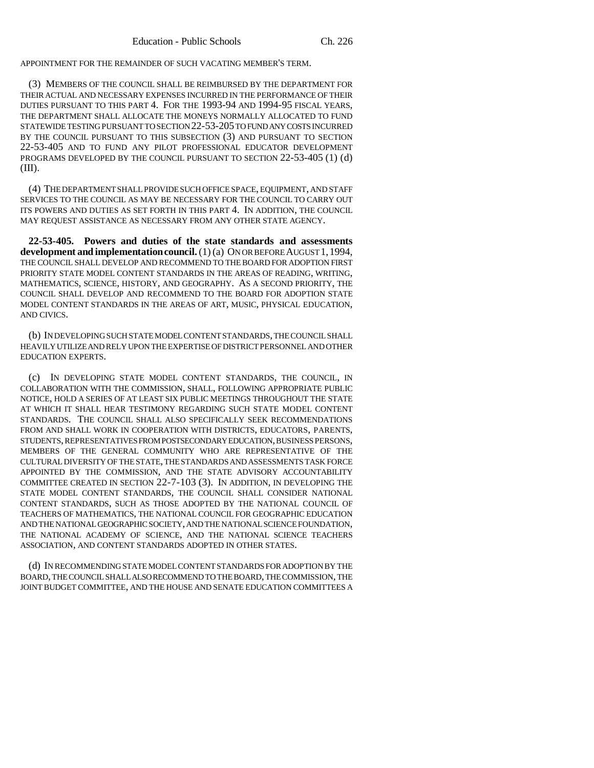APPOINTMENT FOR THE REMAINDER OF SUCH VACATING MEMBER'S TERM.

(3) MEMBERS OF THE COUNCIL SHALL BE REIMBURSED BY THE DEPARTMENT FOR THEIR ACTUAL AND NECESSARY EXPENSES INCURRED IN THE PERFORMANCE OF THEIR DUTIES PURSUANT TO THIS PART 4. FOR THE 1993-94 AND 1994-95 FISCAL YEARS, THE DEPARTMENT SHALL ALLOCATE THE MONEYS NORMALLY ALLOCATED TO FUND STATEWIDE TESTING PURSUANT TO SECTION 22-53-205 TO FUND ANY COSTS INCURRED BY THE COUNCIL PURSUANT TO THIS SUBSECTION (3) AND PURSUANT TO SECTION 22-53-405 AND TO FUND ANY PILOT PROFESSIONAL EDUCATOR DEVELOPMENT PROGRAMS DEVELOPED BY THE COUNCIL PURSUANT TO SECTION 22-53-405 (1) (d) (III).

(4) THE DEPARTMENT SHALL PROVIDE SUCH OFFICE SPACE, EQUIPMENT, AND STAFF SERVICES TO THE COUNCIL AS MAY BE NECESSARY FOR THE COUNCIL TO CARRY OUT ITS POWERS AND DUTIES AS SET FORTH IN THIS PART 4. IN ADDITION, THE COUNCIL MAY REQUEST ASSISTANCE AS NECESSARY FROM ANY OTHER STATE AGENCY.

**22-53-405. Powers and duties of the state standards and assessments development and implementation council.** (1) (a) ON OR BEFORE AUGUST 1,1994, THE COUNCIL SHALL DEVELOP AND RECOMMEND TO THE BOARD FOR ADOPTION FIRST PRIORITY STATE MODEL CONTENT STANDARDS IN THE AREAS OF READING, WRITING, MATHEMATICS, SCIENCE, HISTORY, AND GEOGRAPHY. AS A SECOND PRIORITY, THE COUNCIL SHALL DEVELOP AND RECOMMEND TO THE BOARD FOR ADOPTION STATE MODEL CONTENT STANDARDS IN THE AREAS OF ART, MUSIC, PHYSICAL EDUCATION, AND CIVICS.

(b) IN DEVELOPING SUCH STATE MODEL CONTENT STANDARDS, THE COUNCIL SHALL HEAVILY UTILIZE AND RELY UPON THE EXPERTISE OF DISTRICT PERSONNEL AND OTHER EDUCATION EXPERTS.

(c) IN DEVELOPING STATE MODEL CONTENT STANDARDS, THE COUNCIL, IN COLLABORATION WITH THE COMMISSION, SHALL, FOLLOWING APPROPRIATE PUBLIC NOTICE, HOLD A SERIES OF AT LEAST SIX PUBLIC MEETINGS THROUGHOUT THE STATE AT WHICH IT SHALL HEAR TESTIMONY REGARDING SUCH STATE MODEL CONTENT STANDARDS. THE COUNCIL SHALL ALSO SPECIFICALLY SEEK RECOMMENDATIONS FROM AND SHALL WORK IN COOPERATION WITH DISTRICTS, EDUCATORS, PARENTS, STUDENTS, REPRESENTATIVES FROM POSTSECONDARY EDUCATION, BUSINESS PERSONS, MEMBERS OF THE GENERAL COMMUNITY WHO ARE REPRESENTATIVE OF THE CULTURAL DIVERSITY OF THE STATE, THE STANDARDS AND ASSESSMENTS TASK FORCE APPOINTED BY THE COMMISSION, AND THE STATE ADVISORY ACCOUNTABILITY COMMITTEE CREATED IN SECTION 22-7-103 (3). IN ADDITION, IN DEVELOPING THE STATE MODEL CONTENT STANDARDS, THE COUNCIL SHALL CONSIDER NATIONAL CONTENT STANDARDS, SUCH AS THOSE ADOPTED BY THE NATIONAL COUNCIL OF TEACHERS OF MATHEMATICS, THE NATIONAL COUNCIL FOR GEOGRAPHIC EDUCATION AND THE NATIONAL GEOGRAPHIC SOCIETY, AND THE NATIONAL SCIENCE FOUNDATION, THE NATIONAL ACADEMY OF SCIENCE, AND THE NATIONAL SCIENCE TEACHERS ASSOCIATION, AND CONTENT STANDARDS ADOPTED IN OTHER STATES.

(d) IN RECOMMENDING STATE MODEL CONTENT STANDARDS FOR ADOPTION BY THE BOARD, THE COUNCIL SHALL ALSO RECOMMEND TO THE BOARD, THE COMMISSION, THE JOINT BUDGET COMMITTEE, AND THE HOUSE AND SENATE EDUCATION COMMITTEES A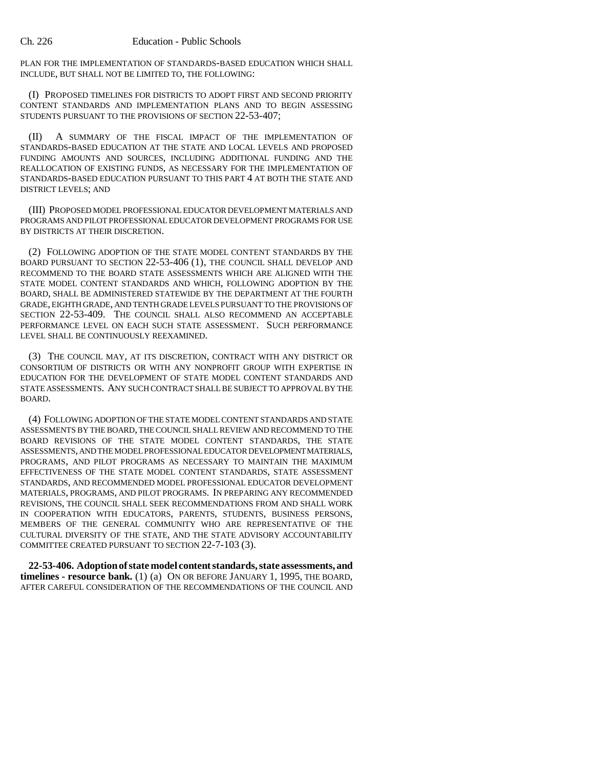PLAN FOR THE IMPLEMENTATION OF STANDARDS-BASED EDUCATION WHICH SHALL INCLUDE, BUT SHALL NOT BE LIMITED TO, THE FOLLOWING:

(I) PROPOSED TIMELINES FOR DISTRICTS TO ADOPT FIRST AND SECOND PRIORITY CONTENT STANDARDS AND IMPLEMENTATION PLANS AND TO BEGIN ASSESSING STUDENTS PURSUANT TO THE PROVISIONS OF SECTION 22-53-407;

(II) A SUMMARY OF THE FISCAL IMPACT OF THE IMPLEMENTATION OF STANDARDS-BASED EDUCATION AT THE STATE AND LOCAL LEVELS AND PROPOSED FUNDING AMOUNTS AND SOURCES, INCLUDING ADDITIONAL FUNDING AND THE REALLOCATION OF EXISTING FUNDS, AS NECESSARY FOR THE IMPLEMENTATION OF STANDARDS-BASED EDUCATION PURSUANT TO THIS PART 4 AT BOTH THE STATE AND DISTRICT LEVELS; AND

(III) PROPOSED MODEL PROFESSIONAL EDUCATOR DEVELOPMENT MATERIALS AND PROGRAMS AND PILOT PROFESSIONAL EDUCATOR DEVELOPMENT PROGRAMS FOR USE BY DISTRICTS AT THEIR DISCRETION.

(2) FOLLOWING ADOPTION OF THE STATE MODEL CONTENT STANDARDS BY THE BOARD PURSUANT TO SECTION 22-53-406 (1), THE COUNCIL SHALL DEVELOP AND RECOMMEND TO THE BOARD STATE ASSESSMENTS WHICH ARE ALIGNED WITH THE STATE MODEL CONTENT STANDARDS AND WHICH, FOLLOWING ADOPTION BY THE BOARD, SHALL BE ADMINISTERED STATEWIDE BY THE DEPARTMENT AT THE FOURTH GRADE, EIGHTH GRADE, AND TENTH GRADE LEVELS PURSUANT TO THE PROVISIONS OF SECTION 22-53-409. THE COUNCIL SHALL ALSO RECOMMEND AN ACCEPTABLE PERFORMANCE LEVEL ON EACH SUCH STATE ASSESSMENT. SUCH PERFORMANCE LEVEL SHALL BE CONTINUOUSLY REEXAMINED.

(3) THE COUNCIL MAY, AT ITS DISCRETION, CONTRACT WITH ANY DISTRICT OR CONSORTIUM OF DISTRICTS OR WITH ANY NONPROFIT GROUP WITH EXPERTISE IN EDUCATION FOR THE DEVELOPMENT OF STATE MODEL CONTENT STANDARDS AND STATE ASSESSMENTS. ANY SUCH CONTRACT SHALL BE SUBJECT TO APPROVAL BY THE BOARD.

(4) FOLLOWING ADOPTION OF THE STATE MODEL CONTENT STANDARDS AND STATE ASSESSMENTS BY THE BOARD, THE COUNCIL SHALL REVIEW AND RECOMMEND TO THE BOARD REVISIONS OF THE STATE MODEL CONTENT STANDARDS, THE STATE ASSESSMENTS, AND THE MODEL PROFESSIONAL EDUCATOR DEVELOPMENT MATERIALS, PROGRAMS, AND PILOT PROGRAMS AS NECESSARY TO MAINTAIN THE MAXIMUM EFFECTIVENESS OF THE STATE MODEL CONTENT STANDARDS, STATE ASSESSMENT STANDARDS, AND RECOMMENDED MODEL PROFESSIONAL EDUCATOR DEVELOPMENT MATERIALS, PROGRAMS, AND PILOT PROGRAMS. IN PREPARING ANY RECOMMENDED REVISIONS, THE COUNCIL SHALL SEEK RECOMMENDATIONS FROM AND SHALL WORK IN COOPERATION WITH EDUCATORS, PARENTS, STUDENTS, BUSINESS PERSONS, MEMBERS OF THE GENERAL COMMUNITY WHO ARE REPRESENTATIVE OF THE CULTURAL DIVERSITY OF THE STATE, AND THE STATE ADVISORY ACCOUNTABILITY COMMITTEE CREATED PURSUANT TO SECTION 22-7-103 (3).

**22-53-406. Adoption of state model content standards, state assessments, and timelines - resource bank.** (1) (a) ON OR BEFORE JANUARY 1, 1995, THE BOARD, AFTER CAREFUL CONSIDERATION OF THE RECOMMENDATIONS OF THE COUNCIL AND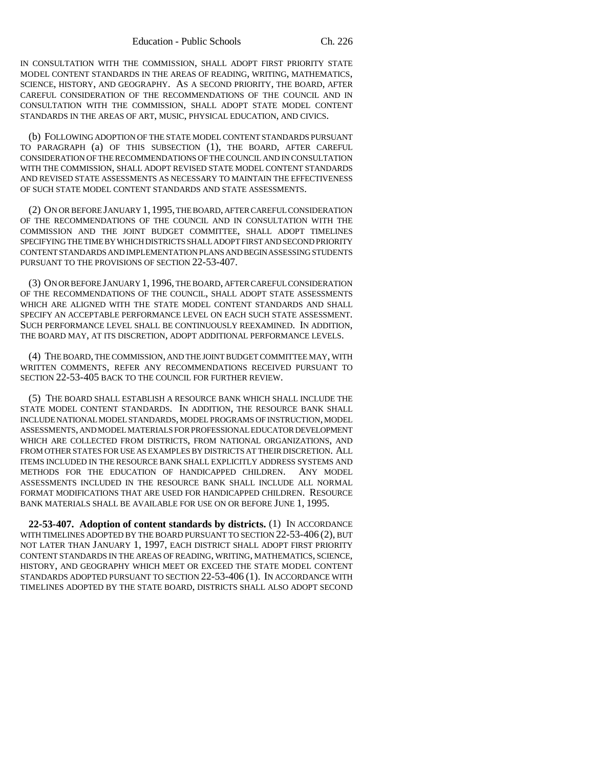IN CONSULTATION WITH THE COMMISSION, SHALL ADOPT FIRST PRIORITY STATE MODEL CONTENT STANDARDS IN THE AREAS OF READING, WRITING, MATHEMATICS, SCIENCE, HISTORY, AND GEOGRAPHY. AS A SECOND PRIORITY, THE BOARD, AFTER CAREFUL CONSIDERATION OF THE RECOMMENDATIONS OF THE COUNCIL AND IN CONSULTATION WITH THE COMMISSION, SHALL ADOPT STATE MODEL CONTENT STANDARDS IN THE AREAS OF ART, MUSIC, PHYSICAL EDUCATION, AND CIVICS.

(b) FOLLOWING ADOPTION OF THE STATE MODEL CONTENT STANDARDS PURSUANT TO PARAGRAPH (a) OF THIS SUBSECTION (1), THE BOARD, AFTER CAREFUL CONSIDERATION OF THE RECOMMENDATIONS OF THE COUNCIL AND IN CONSULTATION WITH THE COMMISSION, SHALL ADOPT REVISED STATE MODEL CONTENT STANDARDS AND REVISED STATE ASSESSMENTS AS NECESSARY TO MAINTAIN THE EFFECTIVENESS OF SUCH STATE MODEL CONTENT STANDARDS AND STATE ASSESSMENTS.

(2) ON OR BEFORE JANUARY 1, 1995, THE BOARD, AFTER CAREFUL CONSIDERATION OF THE RECOMMENDATIONS OF THE COUNCIL AND IN CONSULTATION WITH THE COMMISSION AND THE JOINT BUDGET COMMITTEE, SHALL ADOPT TIMELINES SPECIFYING THE TIME BY WHICH DISTRICTS SHALL ADOPT FIRST AND SECOND PRIORITY CONTENT STANDARDS AND IMPLEMENTATION PLANS AND BEGIN ASSESSING STUDENTS PURSUANT TO THE PROVISIONS OF SECTION 22-53-407.

(3) ON OR BEFORE JANUARY 1, 1996, THE BOARD, AFTER CAREFUL CONSIDERATION OF THE RECOMMENDATIONS OF THE COUNCIL, SHALL ADOPT STATE ASSESSMENTS WHICH ARE ALIGNED WITH THE STATE MODEL CONTENT STANDARDS AND SHALL SPECIFY AN ACCEPTABLE PERFORMANCE LEVEL ON EACH SUCH STATE ASSESSMENT. SUCH PERFORMANCE LEVEL SHALL BE CONTINUOUSLY REEXAMINED. IN ADDITION, THE BOARD MAY, AT ITS DISCRETION, ADOPT ADDITIONAL PERFORMANCE LEVELS.

(4) THE BOARD, THE COMMISSION, AND THE JOINT BUDGET COMMITTEE MAY, WITH WRITTEN COMMENTS, REFER ANY RECOMMENDATIONS RECEIVED PURSUANT TO SECTION 22-53-405 BACK TO THE COUNCIL FOR FURTHER REVIEW.

(5) THE BOARD SHALL ESTABLISH A RESOURCE BANK WHICH SHALL INCLUDE THE STATE MODEL CONTENT STANDARDS. IN ADDITION, THE RESOURCE BANK SHALL INCLUDE NATIONAL MODEL STANDARDS, MODEL PROGRAMS OF INSTRUCTION, MODEL ASSESSMENTS, AND MODEL MATERIALS FOR PROFESSIONAL EDUCATOR DEVELOPMENT WHICH ARE COLLECTED FROM DISTRICTS, FROM NATIONAL ORGANIZATIONS, AND FROM OTHER STATES FOR USE AS EXAMPLES BY DISTRICTS AT THEIR DISCRETION. ALL ITEMS INCLUDED IN THE RESOURCE BANK SHALL EXPLICITLY ADDRESS SYSTEMS AND METHODS FOR THE EDUCATION OF HANDICAPPED CHILDREN. ANY MODEL ASSESSMENTS INCLUDED IN THE RESOURCE BANK SHALL INCLUDE ALL NORMAL FORMAT MODIFICATIONS THAT ARE USED FOR HANDICAPPED CHILDREN. RESOURCE BANK MATERIALS SHALL BE AVAILABLE FOR USE ON OR BEFORE JUNE 1, 1995.

**22-53-407. Adoption of content standards by districts.** (1) IN ACCORDANCE WITH TIMELINES ADOPTED BY THE BOARD PURSUANT TO SECTION 22-53-406 (2), BUT NOT LATER THAN JANUARY 1, 1997, EACH DISTRICT SHALL ADOPT FIRST PRIORITY CONTENT STANDARDS IN THE AREAS OF READING, WRITING, MATHEMATICS, SCIENCE, HISTORY, AND GEOGRAPHY WHICH MEET OR EXCEED THE STATE MODEL CONTENT STANDARDS ADOPTED PURSUANT TO SECTION 22-53-406 (1). IN ACCORDANCE WITH TIMELINES ADOPTED BY THE STATE BOARD, DISTRICTS SHALL ALSO ADOPT SECOND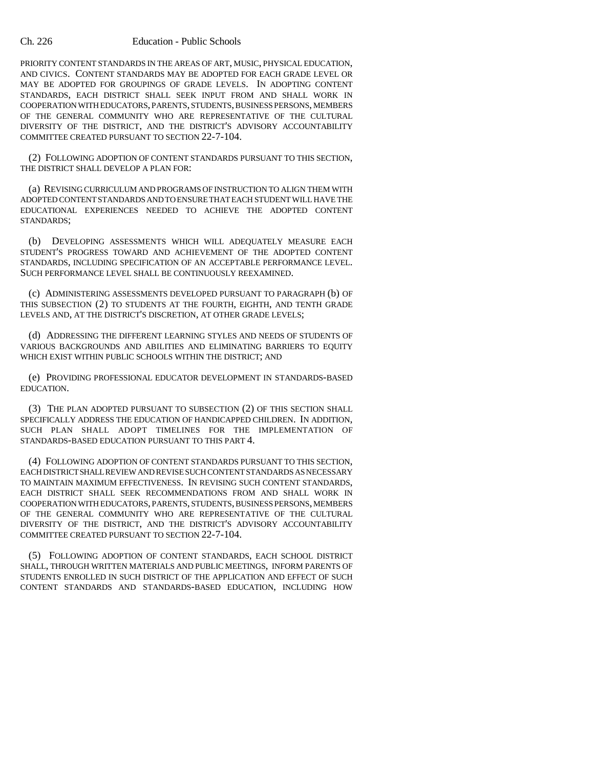## Ch. 226 Education - Public Schools

PRIORITY CONTENT STANDARDS IN THE AREAS OF ART, MUSIC, PHYSICAL EDUCATION, AND CIVICS. CONTENT STANDARDS MAY BE ADOPTED FOR EACH GRADE LEVEL OR MAY BE ADOPTED FOR GROUPINGS OF GRADE LEVELS. IN ADOPTING CONTENT STANDARDS, EACH DISTRICT SHALL SEEK INPUT FROM AND SHALL WORK IN COOPERATION WITH EDUCATORS, PARENTS, STUDENTS, BUSINESS PERSONS, MEMBERS OF THE GENERAL COMMUNITY WHO ARE REPRESENTATIVE OF THE CULTURAL DIVERSITY OF THE DISTRICT, AND THE DISTRICT'S ADVISORY ACCOUNTABILITY COMMITTEE CREATED PURSUANT TO SECTION 22-7-104.

(2) FOLLOWING ADOPTION OF CONTENT STANDARDS PURSUANT TO THIS SECTION, THE DISTRICT SHALL DEVELOP A PLAN FOR:

(a) REVISING CURRICULUM AND PROGRAMS OF INSTRUCTION TO ALIGN THEM WITH ADOPTED CONTENT STANDARDS AND TO ENSURE THAT EACH STUDENT WILL HAVE THE EDUCATIONAL EXPERIENCES NEEDED TO ACHIEVE THE ADOPTED CONTENT STANDARDS;

(b) DEVELOPING ASSESSMENTS WHICH WILL ADEQUATELY MEASURE EACH STUDENT'S PROGRESS TOWARD AND ACHIEVEMENT OF THE ADOPTED CONTENT STANDARDS, INCLUDING SPECIFICATION OF AN ACCEPTABLE PERFORMANCE LEVEL. SUCH PERFORMANCE LEVEL SHALL BE CONTINUOUSLY REEXAMINED.

(c) ADMINISTERING ASSESSMENTS DEVELOPED PURSUANT TO PARAGRAPH (b) OF THIS SUBSECTION (2) TO STUDENTS AT THE FOURTH, EIGHTH, AND TENTH GRADE LEVELS AND, AT THE DISTRICT'S DISCRETION, AT OTHER GRADE LEVELS;

(d) ADDRESSING THE DIFFERENT LEARNING STYLES AND NEEDS OF STUDENTS OF VARIOUS BACKGROUNDS AND ABILITIES AND ELIMINATING BARRIERS TO EQUITY WHICH EXIST WITHIN PUBLIC SCHOOLS WITHIN THE DISTRICT; AND

(e) PROVIDING PROFESSIONAL EDUCATOR DEVELOPMENT IN STANDARDS-BASED EDUCATION.

(3) THE PLAN ADOPTED PURSUANT TO SUBSECTION (2) OF THIS SECTION SHALL SPECIFICALLY ADDRESS THE EDUCATION OF HANDICAPPED CHILDREN. IN ADDITION, SUCH PLAN SHALL ADOPT TIMELINES FOR THE IMPLEMENTATION OF STANDARDS-BASED EDUCATION PURSUANT TO THIS PART 4.

(4) FOLLOWING ADOPTION OF CONTENT STANDARDS PURSUANT TO THIS SECTION, EACH DISTRICT SHALL REVIEW AND REVISE SUCH CONTENT STANDARDS AS NECESSARY TO MAINTAIN MAXIMUM EFFECTIVENESS. IN REVISING SUCH CONTENT STANDARDS, EACH DISTRICT SHALL SEEK RECOMMENDATIONS FROM AND SHALL WORK IN COOPERATION WITH EDUCATORS, PARENTS, STUDENTS, BUSINESS PERSONS, MEMBERS OF THE GENERAL COMMUNITY WHO ARE REPRESENTATIVE OF THE CULTURAL DIVERSITY OF THE DISTRICT, AND THE DISTRICT'S ADVISORY ACCOUNTABILITY COMMITTEE CREATED PURSUANT TO SECTION 22-7-104.

(5) FOLLOWING ADOPTION OF CONTENT STANDARDS, EACH SCHOOL DISTRICT SHALL, THROUGH WRITTEN MATERIALS AND PUBLIC MEETINGS, INFORM PARENTS OF STUDENTS ENROLLED IN SUCH DISTRICT OF THE APPLICATION AND EFFECT OF SUCH CONTENT STANDARDS AND STANDARDS-BASED EDUCATION, INCLUDING HOW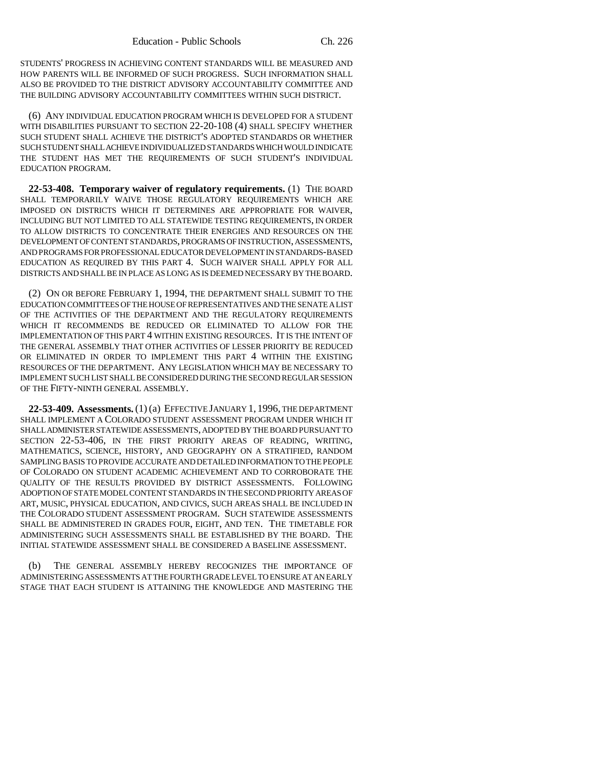STUDENTS' PROGRESS IN ACHIEVING CONTENT STANDARDS WILL BE MEASURED AND HOW PARENTS WILL BE INFORMED OF SUCH PROGRESS. SUCH INFORMATION SHALL ALSO BE PROVIDED TO THE DISTRICT ADVISORY ACCOUNTABILITY COMMITTEE AND THE BUILDING ADVISORY ACCOUNTABILITY COMMITTEES WITHIN SUCH DISTRICT.

(6) ANY INDIVIDUAL EDUCATION PROGRAM WHICH IS DEVELOPED FOR A STUDENT WITH DISABILITIES PURSUANT TO SECTION 22-20-108 (4) SHALL SPECIFY WHETHER SUCH STUDENT SHALL ACHIEVE THE DISTRICT'S ADOPTED STANDARDS OR WHETHER SUCH STUDENT SHALL ACHIEVE INDIVIDUALIZED STANDARDS WHICH WOULD INDICATE THE STUDENT HAS MET THE REQUIREMENTS OF SUCH STUDENT'S INDIVIDUAL EDUCATION PROGRAM.

**22-53-408. Temporary waiver of regulatory requirements.** (1) THE BOARD SHALL TEMPORARILY WAIVE THOSE REGULATORY REQUIREMENTS WHICH ARE IMPOSED ON DISTRICTS WHICH IT DETERMINES ARE APPROPRIATE FOR WAIVER, INCLUDING BUT NOT LIMITED TO ALL STATEWIDE TESTING REQUIREMENTS, IN ORDER TO ALLOW DISTRICTS TO CONCENTRATE THEIR ENERGIES AND RESOURCES ON THE DEVELOPMENT OF CONTENT STANDARDS, PROGRAMS OF INSTRUCTION, ASSESSMENTS, AND PROGRAMS FOR PROFESSIONAL EDUCATOR DEVELOPMENT IN STANDARDS-BASED EDUCATION AS REQUIRED BY THIS PART 4. SUCH WAIVER SHALL APPLY FOR ALL DISTRICTS AND SHALL BE IN PLACE AS LONG AS IS DEEMED NECESSARY BY THE BOARD.

(2) ON OR BEFORE FEBRUARY 1, 1994, THE DEPARTMENT SHALL SUBMIT TO THE EDUCATION COMMITTEES OF THE HOUSE OF REPRESENTATIVES AND THE SENATE A LIST OF THE ACTIVITIES OF THE DEPARTMENT AND THE REGULATORY REQUIREMENTS WHICH IT RECOMMENDS BE REDUCED OR ELIMINATED TO ALLOW FOR THE IMPLEMENTATION OF THIS PART 4 WITHIN EXISTING RESOURCES. IT IS THE INTENT OF THE GENERAL ASSEMBLY THAT OTHER ACTIVITIES OF LESSER PRIORITY BE REDUCED OR ELIMINATED IN ORDER TO IMPLEMENT THIS PART 4 WITHIN THE EXISTING RESOURCES OF THE DEPARTMENT. ANY LEGISLATION WHICH MAY BE NECESSARY TO IMPLEMENT SUCH LIST SHALL BE CONSIDERED DURING THE SECOND REGULAR SESSION OF THE FIFTY-NINTH GENERAL ASSEMBLY.

**22-53-409. Assessments.** (1) (a) EFFECTIVE JANUARY 1, 1996, THE DEPARTMENT SHALL IMPLEMENT A COLORADO STUDENT ASSESSMENT PROGRAM UNDER WHICH IT SHALL ADMINISTER STATEWIDE ASSESSMENTS, ADOPTED BY THE BOARD PURSUANT TO SECTION 22-53-406, IN THE FIRST PRIORITY AREAS OF READING, WRITING, MATHEMATICS, SCIENCE, HISTORY, AND GEOGRAPHY ON A STRATIFIED, RANDOM SAMPLING BASIS TO PROVIDE ACCURATE AND DETAILED INFORMATION TO THE PEOPLE OF COLORADO ON STUDENT ACADEMIC ACHIEVEMENT AND TO CORROBORATE THE QUALITY OF THE RESULTS PROVIDED BY DISTRICT ASSESSMENTS. FOLLOWING ADOPTION OF STATE MODEL CONTENT STANDARDS IN THE SECOND PRIORITY AREAS OF ART, MUSIC, PHYSICAL EDUCATION, AND CIVICS, SUCH AREAS SHALL BE INCLUDED IN THE COLORADO STUDENT ASSESSMENT PROGRAM. SUCH STATEWIDE ASSESSMENTS SHALL BE ADMINISTERED IN GRADES FOUR, EIGHT, AND TEN. THE TIMETABLE FOR ADMINISTERING SUCH ASSESSMENTS SHALL BE ESTABLISHED BY THE BOARD. THE INITIAL STATEWIDE ASSESSMENT SHALL BE CONSIDERED A BASELINE ASSESSMENT.

(b) THE GENERAL ASSEMBLY HEREBY RECOGNIZES THE IMPORTANCE OF ADMINISTERING ASSESSMENTS AT THE FOURTH GRADE LEVEL TO ENSURE AT AN EARLY STAGE THAT EACH STUDENT IS ATTAINING THE KNOWLEDGE AND MASTERING THE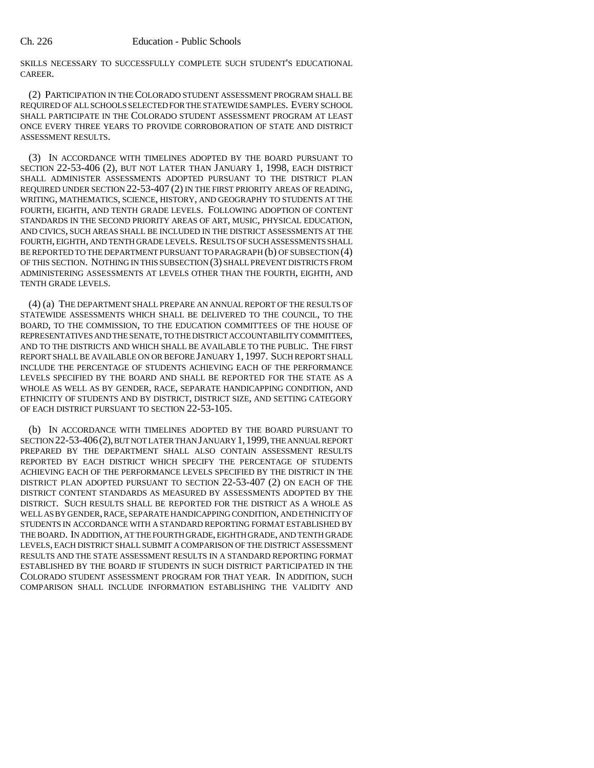SKILLS NECESSARY TO SUCCESSFULLY COMPLETE SUCH STUDENT'S EDUCATIONAL CAREER.

(2) PARTICIPATION IN THE COLORADO STUDENT ASSESSMENT PROGRAM SHALL BE REQUIRED OF ALL SCHOOLS SELECTED FOR THE STATEWIDE SAMPLES. EVERY SCHOOL SHALL PARTICIPATE IN THE COLORADO STUDENT ASSESSMENT PROGRAM AT LEAST ONCE EVERY THREE YEARS TO PROVIDE CORROBORATION OF STATE AND DISTRICT ASSESSMENT RESULTS.

(3) IN ACCORDANCE WITH TIMELINES ADOPTED BY THE BOARD PURSUANT TO SECTION 22-53-406 (2), BUT NOT LATER THAN JANUARY 1, 1998, EACH DISTRICT SHALL ADMINISTER ASSESSMENTS ADOPTED PURSUANT TO THE DISTRICT PLAN REQUIRED UNDER SECTION 22-53-407 (2) IN THE FIRST PRIORITY AREAS OF READING, WRITING, MATHEMATICS, SCIENCE, HISTORY, AND GEOGRAPHY TO STUDENTS AT THE FOURTH, EIGHTH, AND TENTH GRADE LEVELS. FOLLOWING ADOPTION OF CONTENT STANDARDS IN THE SECOND PRIORITY AREAS OF ART, MUSIC, PHYSICAL EDUCATION, AND CIVICS, SUCH AREAS SHALL BE INCLUDED IN THE DISTRICT ASSESSMENTS AT THE FOURTH, EIGHTH, AND TENTH GRADE LEVELS. RESULTS OF SUCH ASSESSMENTS SHALL BE REPORTED TO THE DEPARTMENT PURSUANT TO PARAGRAPH (b) OF SUBSECTION (4) OF THIS SECTION. NOTHING IN THIS SUBSECTION (3) SHALL PREVENT DISTRICTS FROM ADMINISTERING ASSESSMENTS AT LEVELS OTHER THAN THE FOURTH, EIGHTH, AND TENTH GRADE LEVELS.

(4) (a) THE DEPARTMENT SHALL PREPARE AN ANNUAL REPORT OF THE RESULTS OF STATEWIDE ASSESSMENTS WHICH SHALL BE DELIVERED TO THE COUNCIL, TO THE BOARD, TO THE COMMISSION, TO THE EDUCATION COMMITTEES OF THE HOUSE OF REPRESENTATIVES AND THE SENATE, TO THE DISTRICT ACCOUNTABILITY COMMITTEES, AND TO THE DISTRICTS AND WHICH SHALL BE AVAILABLE TO THE PUBLIC. THE FIRST REPORT SHALL BE AVAILABLE ON OR BEFORE JANUARY 1, 1997. SUCH REPORT SHALL INCLUDE THE PERCENTAGE OF STUDENTS ACHIEVING EACH OF THE PERFORMANCE LEVELS SPECIFIED BY THE BOARD AND SHALL BE REPORTED FOR THE STATE AS A WHOLE AS WELL AS BY GENDER, RACE, SEPARATE HANDICAPPING CONDITION, AND ETHNICITY OF STUDENTS AND BY DISTRICT, DISTRICT SIZE, AND SETTING CATEGORY OF EACH DISTRICT PURSUANT TO SECTION 22-53-105.

(b) IN ACCORDANCE WITH TIMELINES ADOPTED BY THE BOARD PURSUANT TO SECTION 22-53-406(2), BUT NOT LATER THAN JANUARY 1,1999, THE ANNUAL REPORT PREPARED BY THE DEPARTMENT SHALL ALSO CONTAIN ASSESSMENT RESULTS REPORTED BY EACH DISTRICT WHICH SPECIFY THE PERCENTAGE OF STUDENTS ACHIEVING EACH OF THE PERFORMANCE LEVELS SPECIFIED BY THE DISTRICT IN THE DISTRICT PLAN ADOPTED PURSUANT TO SECTION 22-53-407 (2) ON EACH OF THE DISTRICT CONTENT STANDARDS AS MEASURED BY ASSESSMENTS ADOPTED BY THE DISTRICT. SUCH RESULTS SHALL BE REPORTED FOR THE DISTRICT AS A WHOLE AS WELL AS BY GENDER, RACE, SEPARATE HANDICAPPING CONDITION, AND ETHNICITY OF STUDENTS IN ACCORDANCE WITH A STANDARD REPORTING FORMAT ESTABLISHED BY THE BOARD. IN ADDITION, AT THE FOURTH GRADE, EIGHTH GRADE, AND TENTH GRADE LEVELS, EACH DISTRICT SHALL SUBMIT A COMPARISON OF THE DISTRICT ASSESSMENT RESULTS AND THE STATE ASSESSMENT RESULTS IN A STANDARD REPORTING FORMAT ESTABLISHED BY THE BOARD IF STUDENTS IN SUCH DISTRICT PARTICIPATED IN THE COLORADO STUDENT ASSESSMENT PROGRAM FOR THAT YEAR. IN ADDITION, SUCH COMPARISON SHALL INCLUDE INFORMATION ESTABLISHING THE VALIDITY AND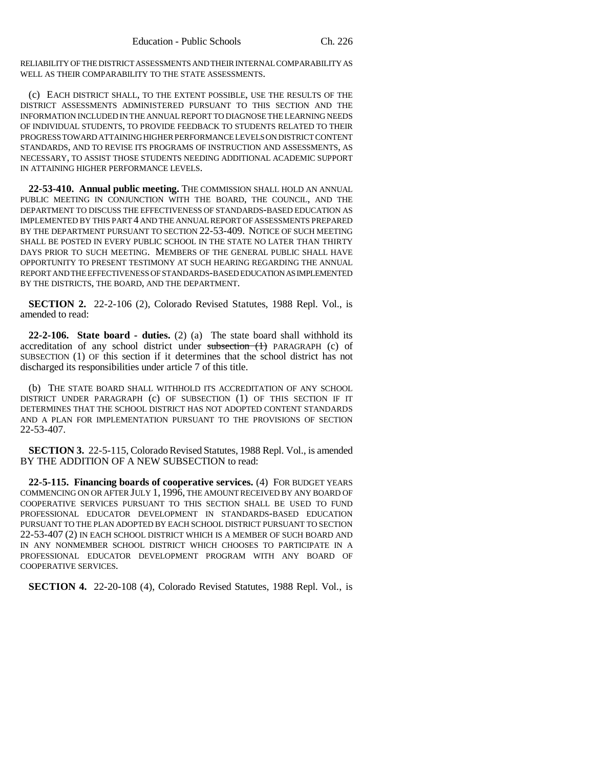RELIABILITY OF THE DISTRICT ASSESSMENTS AND THEIR INTERNAL COMPARABILITY AS WELL AS THEIR COMPARABILITY TO THE STATE ASSESSMENTS.

(c) EACH DISTRICT SHALL, TO THE EXTENT POSSIBLE, USE THE RESULTS OF THE DISTRICT ASSESSMENTS ADMINISTERED PURSUANT TO THIS SECTION AND THE INFORMATION INCLUDED IN THE ANNUAL REPORT TO DIAGNOSE THE LEARNING NEEDS OF INDIVIDUAL STUDENTS, TO PROVIDE FEEDBACK TO STUDENTS RELATED TO THEIR PROGRESS TOWARD ATTAINING HIGHER PERFORMANCE LEVELS ON DISTRICT CONTENT STANDARDS, AND TO REVISE ITS PROGRAMS OF INSTRUCTION AND ASSESSMENTS, AS NECESSARY, TO ASSIST THOSE STUDENTS NEEDING ADDITIONAL ACADEMIC SUPPORT IN ATTAINING HIGHER PERFORMANCE LEVELS.

**22-53-410. Annual public meeting.** THE COMMISSION SHALL HOLD AN ANNUAL PUBLIC MEETING IN CONJUNCTION WITH THE BOARD, THE COUNCIL, AND THE DEPARTMENT TO DISCUSS THE EFFECTIVENESS OF STANDARDS-BASED EDUCATION AS IMPLEMENTED BY THIS PART 4 AND THE ANNUAL REPORT OF ASSESSMENTS PREPARED BY THE DEPARTMENT PURSUANT TO SECTION 22-53-409. NOTICE OF SUCH MEETING SHALL BE POSTED IN EVERY PUBLIC SCHOOL IN THE STATE NO LATER THAN THIRTY DAYS PRIOR TO SUCH MEETING. MEMBERS OF THE GENERAL PUBLIC SHALL HAVE OPPORTUNITY TO PRESENT TESTIMONY AT SUCH HEARING REGARDING THE ANNUAL REPORT AND THE EFFECTIVENESS OF STANDARDS-BASED EDUCATION AS IMPLEMENTED BY THE DISTRICTS, THE BOARD, AND THE DEPARTMENT.

**SECTION 2.** 22-2-106 (2), Colorado Revised Statutes, 1988 Repl. Vol., is amended to read:

**22-2-106. State board - duties.** (2) (a) The state board shall withhold its accreditation of any school district under subsection (1) PARAGRAPH (c) of SUBSECTION (1) OF this section if it determines that the school district has not discharged its responsibilities under article 7 of this title.

(b) THE STATE BOARD SHALL WITHHOLD ITS ACCREDITATION OF ANY SCHOOL DISTRICT UNDER PARAGRAPH (c) OF SUBSECTION (1) OF THIS SECTION IF IT DETERMINES THAT THE SCHOOL DISTRICT HAS NOT ADOPTED CONTENT STANDARDS AND A PLAN FOR IMPLEMENTATION PURSUANT TO THE PROVISIONS OF SECTION 22-53-407.

**SECTION 3.** 22-5-115, Colorado Revised Statutes, 1988 Repl. Vol., is amended BY THE ADDITION OF A NEW SUBSECTION to read:

**22-5-115. Financing boards of cooperative services.** (4) FOR BUDGET YEARS COMMENCING ON OR AFTER JULY 1, 1996, THE AMOUNT RECEIVED BY ANY BOARD OF COOPERATIVE SERVICES PURSUANT TO THIS SECTION SHALL BE USED TO FUND PROFESSIONAL EDUCATOR DEVELOPMENT IN STANDARDS-BASED EDUCATION PURSUANT TO THE PLAN ADOPTED BY EACH SCHOOL DISTRICT PURSUANT TO SECTION 22-53-407 (2) IN EACH SCHOOL DISTRICT WHICH IS A MEMBER OF SUCH BOARD AND IN ANY NONMEMBER SCHOOL DISTRICT WHICH CHOOSES TO PARTICIPATE IN A PROFESSIONAL EDUCATOR DEVELOPMENT PROGRAM WITH ANY BOARD OF COOPERATIVE SERVICES.

**SECTION 4.** 22-20-108 (4), Colorado Revised Statutes, 1988 Repl. Vol., is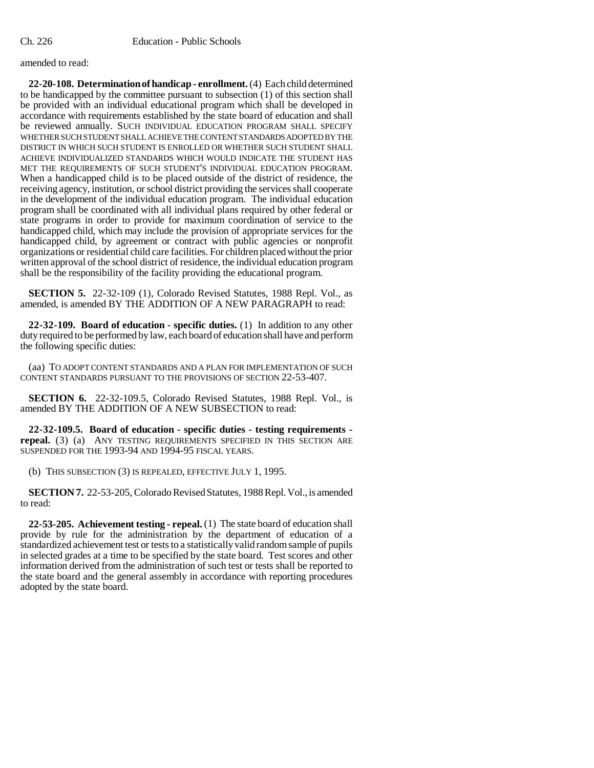amended to read:

**22-20-108. Determination of handicap - enrollment.** (4) Each child determined to be handicapped by the committee pursuant to subsection (1) of this section shall be provided with an individual educational program which shall be developed in accordance with requirements established by the state board of education and shall be reviewed annually. SUCH INDIVIDUAL EDUCATION PROGRAM SHALL SPECIFY WHETHER SUCH STUDENT SHALL ACHIEVE THE CONTENT STANDARDS ADOPTED BY THE DISTRICT IN WHICH SUCH STUDENT IS ENROLLED OR WHETHER SUCH STUDENT SHALL ACHIEVE INDIVIDUALIZED STANDARDS WHICH WOULD INDICATE THE STUDENT HAS MET THE REQUIREMENTS OF SUCH STUDENT'S INDIVIDUAL EDUCATION PROGRAM. When a handicapped child is to be placed outside of the district of residence, the receiving agency, institution, or school district providing the services shall cooperate in the development of the individual education program. The individual education program shall be coordinated with all individual plans required by other federal or state programs in order to provide for maximum coordination of service to the handicapped child, which may include the provision of appropriate services for the handicapped child, by agreement or contract with public agencies or nonprofit organizations or residential child care facilities. For children placed without the prior written approval of the school district of residence, the individual education program shall be the responsibility of the facility providing the educational program.

**SECTION 5.** 22-32-109 (1), Colorado Revised Statutes, 1988 Repl. Vol., as amended, is amended BY THE ADDITION OF A NEW PARAGRAPH to read:

**22-32-109. Board of education - specific duties.** (1) In addition to any other duty required to be performed by law, each board of education shall have and perform the following specific duties:

(aa) TO ADOPT CONTENT STANDARDS AND A PLAN FOR IMPLEMENTATION OF SUCH CONTENT STANDARDS PURSUANT TO THE PROVISIONS OF SECTION 22-53-407.

**SECTION 6.** 22-32-109.5, Colorado Revised Statutes, 1988 Repl. Vol., is amended BY THE ADDITION OF A NEW SUBSECTION to read:

**22-32-109.5. Board of education - specific duties - testing requirements repeal.** (3) (a) ANY TESTING REQUIREMENTS SPECIFIED IN THIS SECTION ARE SUSPENDED FOR THE 1993-94 AND 1994-95 FISCAL YEARS.

(b) THIS SUBSECTION (3) IS REPEALED, EFFECTIVE JULY 1, 1995.

**SECTION 7.** 22-53-205, Colorado Revised Statutes, 1988 Repl. Vol., is amended to read:

**22-53-205. Achievement testing - repeal.** (1) The state board of education shall provide by rule for the administration by the department of education of a standardized achievement test or tests to a statistically valid random sample of pupils in selected grades at a time to be specified by the state board. Test scores and other information derived from the administration of such test or tests shall be reported to the state board and the general assembly in accordance with reporting procedures adopted by the state board.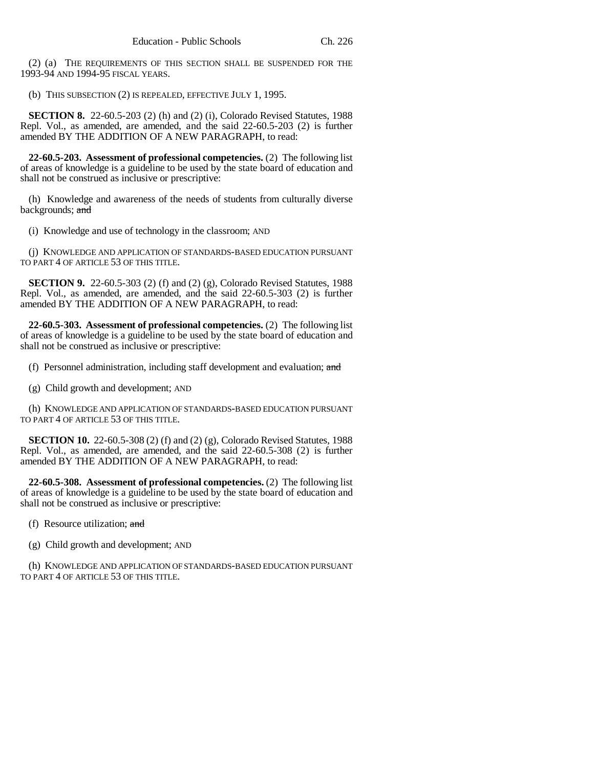(2) (a) THE REQUIREMENTS OF THIS SECTION SHALL BE SUSPENDED FOR THE 1993-94 AND 1994-95 FISCAL YEARS.

(b) THIS SUBSECTION (2) IS REPEALED, EFFECTIVE JULY 1, 1995.

**SECTION 8.** 22-60.5-203 (2) (h) and (2) (i), Colorado Revised Statutes, 1988 Repl. Vol., as amended, are amended, and the said 22-60.5-203 (2) is further amended BY THE ADDITION OF A NEW PARAGRAPH, to read:

**22-60.5-203. Assessment of professional competencies.** (2) The following list of areas of knowledge is a guideline to be used by the state board of education and shall not be construed as inclusive or prescriptive:

(h) Knowledge and awareness of the needs of students from culturally diverse backgrounds; and

(i) Knowledge and use of technology in the classroom; AND

(j) KNOWLEDGE AND APPLICATION OF STANDARDS-BASED EDUCATION PURSUANT TO PART 4 OF ARTICLE 53 OF THIS TITLE.

**SECTION 9.** 22-60.5-303 (2) (f) and (2) (g), Colorado Revised Statutes, 1988 Repl. Vol., as amended, are amended, and the said 22-60.5-303 (2) is further amended BY THE ADDITION OF A NEW PARAGRAPH, to read:

**22-60.5-303. Assessment of professional competencies.** (2) The following list of areas of knowledge is a guideline to be used by the state board of education and shall not be construed as inclusive or prescriptive:

(f) Personnel administration, including staff development and evaluation; and

(g) Child growth and development; AND

(h) KNOWLEDGE AND APPLICATION OF STANDARDS-BASED EDUCATION PURSUANT TO PART 4 OF ARTICLE 53 OF THIS TITLE.

**SECTION 10.** 22-60.5-308 (2) (f) and (2) (g), Colorado Revised Statutes, 1988 Repl. Vol., as amended, are amended, and the said 22-60.5-308 (2) is further amended BY THE ADDITION OF A NEW PARAGRAPH, to read:

**22-60.5-308. Assessment of professional competencies.** (2) The following list of areas of knowledge is a guideline to be used by the state board of education and shall not be construed as inclusive or prescriptive:

(f) Resource utilization; and

(g) Child growth and development; AND

(h) KNOWLEDGE AND APPLICATION OF STANDARDS-BASED EDUCATION PURSUANT TO PART 4 OF ARTICLE 53 OF THIS TITLE.